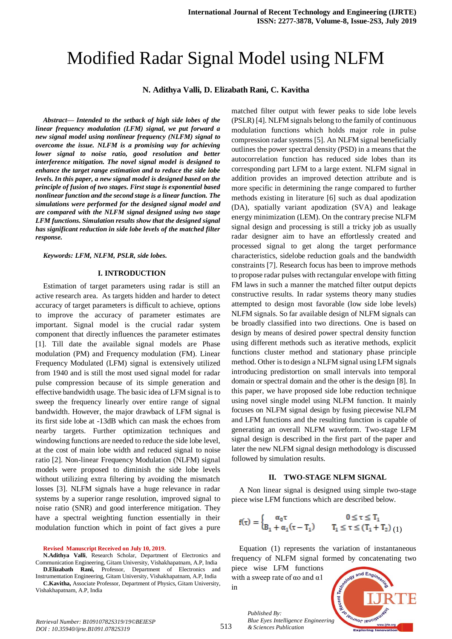# Modified Radar Signal Model using NLFM

**N. Adithya Valli, D. Elizabath Rani, C. Kavitha**

*Abstract***—** *Intended to the setback of high side lobes of the linear frequency modulation (LFM) signal, we put forward a new signal model using nonlinear frequency (NLFM) signal to overcome the issue. NLFM is a promising way for achieving lower signal to noise ratio, good resolution and better interference mitigation. The novel signal model is designed to enhance the target range estimation and to reduce the side lobe levels. In this paper, a new signal model is designed based on the principle of fusion of two stages. First stage is exponential based nonlinear function and the second stage is a linear function. The simulations were performed for the designed signal model and are compared with the NLFM signal designed using two stage LFM functions. Simulation results show that the designed signal has significant reduction in side lobe levels of the matched filter response.*

*Keywords: LFM, NLFM, PSLR, side lobes.*

## **I. INTRODUCTION**

Estimation of target parameters using radar is still an active research area. As targets hidden and harder to detect accuracy of target parameters is difficult to achieve, options to improve the accuracy of parameter estimates are important. Signal model is the crucial radar system component that directly influences the parameter estimates [1]. Till date the available signal models are Phase modulation (PM) and Frequency modulation (FM). Linear Frequency Modulated (LFM) signal is extensively utilized from 1940 and is still the most used signal model for radar pulse compression because of its simple generation and effective bandwidth usage. The basic idea of LFM signal is to sweep the frequency linearly over entire range of signal bandwidth. However, the major drawback of LFM signal is its first side lobe at -13dB which can mask the echoes from nearby targets. Further optimization techniques and windowing functions are needed to reduce the side lobe level, at the cost of main lobe width and reduced signal to noise ratio [2]. Non-linear Frequency Modulation (NLFM) signal models were proposed to diminish the side lobe levels without utilizing extra filtering by avoiding the mismatch losses [3]. NLFM signals have a huge relevance in radar systems by a superior range resolution, improved signal to noise ratio (SNR) and good interference mitigation. They have a spectral weighting function essentially in their modulation function which in point of fact gives a pure

**Revised Manuscript Received on July 10, 2019.**

**N.Adithya Valli**, Research Scholar, Department of Electronics and Communication Engineering, Gitam University, Vishakhapatnam, A.P, India **D.Elizabath Rani,** Professor, Department of Electronics and Instrumentation Engineering, Gitam University, Vishakhapatnam, A.P, India

matched filter output with fewer peaks to side lobe levels (PSLR) [4]. NLFM signals belong to the family of continuous modulation functions which holds major role in pulse compression radar systems [5]. An NLFM signal beneficially outlines the power spectral density (PSD) in a means that the autocorrelation function has reduced side lobes than its corresponding part LFM to a large extent. NLFM signal in addition provides an improved detection attribute and is more specific in determining the range compared to further methods existing in literature [6] such as dual apodization (DA), spatially variant apodization (SVA) and leakage energy minimization (LEM). On the contrary precise NLFM signal design and processing is still a tricky job as usually radar designer aim to have an effortlessly created and processed signal to get along the target performance characteristics, sidelobe reduction goals and the bandwidth constraints [7]. Research focus has been to improve methods to propose radar pulses with rectangular envelope with fitting FM laws in such a manner the matched filter output depicts constructive results. In radar systems theory many studies attempted to design most favorable (low side lobe levels) NLFM signals. So far available design of NLFM signals can be broadly classified into two directions. One is based on design by means of desired power spectral density function using different methods such as iterative methods, explicit functions cluster method and stationary phase principle method. Other is to design a NLFM signal using LFM signals introducing predistortion on small intervals into temporal domain or spectral domain and the other is the design [8]. In this paper, we have proposed side lobe reduction technique using novel single model using NLFM function. It mainly focuses on NLFM signal design by fusing piecewise NLFM and LFM functions and the resulting function is capable of generating an overall NLFM waveform. Two-stage LFM signal design is described in the first part of the paper and later the new NLFM signal design methodology is discussed followed by simulation results.

### **II. TWO-STAGE NLFM SIGNAL**

A Non linear signal is designed using simple two-stage piece wise LFM functions which are described below.

$$
f(\tau) = \left\{ \begin{matrix} \alpha_0 \tau & 0 \leq \tau \leq T_1 \\ B_1 + \alpha_1 (\tau - T_1) & T_1 \leq \tau \leq \left(T_1 + T_2\right)_{(1)} \end{matrix} \right.
$$

Equation (1) represents the variation of instantaneous frequency of NLFM signal formed by concatenating two

piece wise LFM functions with a sweep rate of  $\alpha$ o and  $\alpha$ 1 in



*Retrieval Number: B10910782S319/19©BEIESP DOI : 10.35940/ijrte.B1091.0782S319*

*Published By: Blue Eyes Intelligence Engineering & Sciences Publication* 

**C.Kavitha,** Associate Professor, Department of Physics, Gitam University, Vishakhapatnam, A.P, India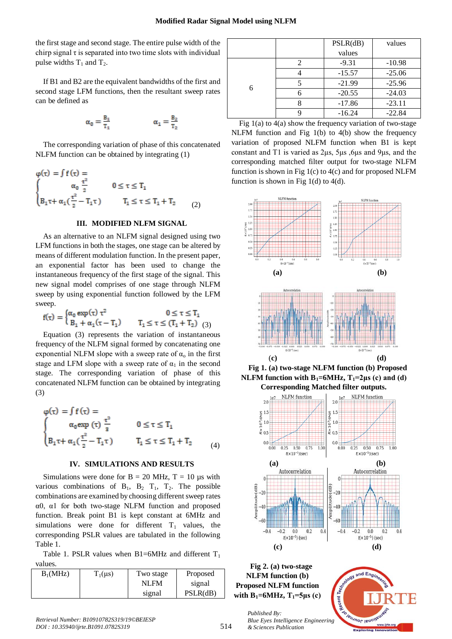the first stage and second stage. The entire pulse width of the chirp signal  $\tau$  is separated into two time slots with individual pulse widths  $T_1$  and  $T_2$ .

If B1 and B2 are the equivalent bandwidths of the first and second stage LFM functions, then the resultant sweep rates can be defined as

$$
\alpha_0 = \frac{B_1}{T_1} \qquad \qquad \alpha_1 = \frac{B_2}{T_2}
$$

The corresponding variation of phase of this concatenated NLFM function can be obtained by integrating (1)

$$
\varphi(\tau) = \int f(\tau) =
$$
\n
$$
\begin{cases}\n\alpha_0 \frac{\tau^2}{2} & 0 \le \tau \le T_1 \\
B_1 \tau + \alpha_1 (\frac{\tau^2}{2} - T_1 \tau) & T_1 \le \tau \le T_1 + T_2\n\end{cases}
$$
\n(2)

## **III. MODIFIED NLFM SIGNAL**

As an alternative to an NLFM signal designed using two LFM functions in both the stages, one stage can be altered by means of different modulation function. In the present paper, an exponential factor has been used to change the instantaneous frequency of the first stage of the signal. This new signal model comprises of one stage through NLFM sweep by using exponential function followed by the LFM sweep.

|                                                                                                | $0 \leq \tau \leq T_1$               |
|------------------------------------------------------------------------------------------------|--------------------------------------|
| $F(\tau) = \begin{cases} \alpha_0 \exp(\tau) \tau^2 \\ B_1 + \alpha_1(\tau - T_1) \end{cases}$ | $T_1 \leq \tau \leq (T_1 + T_2)$ (3) |

Equation (3) represents the variation of instantaneous frequency of the NLFM signal formed by concatenating one exponential NLFM slope with a sweep rate of  $\alpha_0$  in the first stage and LFM slope with a sweep rate of  $\alpha_1$  in the second stage. The corresponding variation of phase of this concatenated NLFM function can be obtained by integrating (3)

$$
\begin{aligned} \phi(\tau) &= \int f(\tau) = \\ & \left\{ \begin{matrix} \alpha_0 \text{exp }(\tau) \ \frac{\tau^3}{2} \qquad & 0 \leq \tau \leq T_1 \\ B_1 \tau + \alpha_1 (\frac{\tau^2}{2} - T_1 \tau) \qquad & T_1 \leq \tau \leq T_1 + T_2 \end{matrix} \right. \end{aligned} \qquad (4)
$$

#### **IV. SIMULATIONS AND RESULTS**

Simulations were done for  $B = 20$  MHz,  $T = 10$  us with various combinations of  $B_1$ ,  $B_2$ ,  $T_1$ ,  $T_2$ . The possible combinations are examined by choosing different sweep rates α0, α1 for both two-stage NLFM function and proposed function. Break point B1 is kept constant at 6MHz and simulations were done for different  $T_1$  values, the corresponding PSLR values are tabulated in the following Table 1.

Table 1. PSLR values when  $B1=6MHz$  and different  $T_1$ values.

| .          |              |           |          |
|------------|--------------|-----------|----------|
| $B_1(MHz)$ | $T_1(\mu s)$ | Two stage | Proposed |
|            |              | NLFM      | signal   |
|            |              | signal    | PSLR(dB) |

|   | PSLR(dB) | values   |
|---|----------|----------|
|   | values   |          |
|   | $-9.31$  | $-10.98$ |
| 6 | $-15.57$ | $-25.06$ |
|   | $-21.99$ | $-25.96$ |
|   | $-20.55$ | $-24.03$ |
|   | $-17.86$ | $-23.11$ |
|   | $-16.24$ | $-22.84$ |

Fig  $1(a)$  to  $4(a)$  show the frequency variation of two-stage NLFM function and Fig 1(b) to 4(b) show the frequency variation of proposed NLFM function when B1 is kept constant and T1 is varied as 2μs, 5μs ,6μs and 9μs, and the corresponding matched filter output for two-stage NLFM function is shown in Fig  $1(c)$  to  $4(c)$  and for proposed NLFM function is shown in Fig  $1(d)$  to  $4(d)$ .



**Fig 1. (a) two-stage NLFM function (b) Proposed NLFM function with**  $B_1 = 6MHz$ **,**  $T_1 = 2\mu s$  **(c) and (d) Corresponding Matched filter outputs.**



**Fig 2. (a) two-stage NLFM function (b) Proposed NLFM function with B**<sub>1</sub>=6MHz,  $T_1$ =5μs (c)

*& Sciences Publication* 

*Published By:*

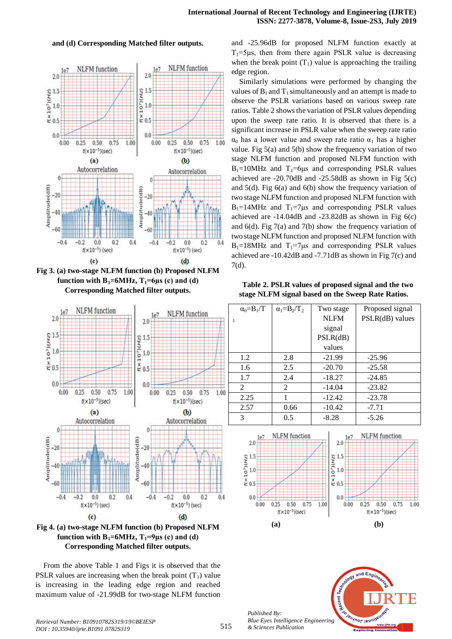#### **and (d) Corresponding Matched filter outputs.**



**Fig 3. (a) two-stage NLFM function (b) Proposed NLFM function with B**<sub>1</sub>=6MHz,  $T_1$ =6μs (c) and (d) **Corresponding Matched filter outputs.**



**Fig 4. (a) two-stage NLFM function (b) Proposed NLFM function with**  $B_1 = 6MHz$ **,**  $T_1 = 9\mu s$  **(c) and (d) Corresponding Matched filter outputs.**

From the above Table 1 and Figs it is observed that the PSLR values are increasing when the break point  $(T_1)$  value is increasing in the leading edge region and reached maximum value of -21.99dB for two-stage NLFM function

and -25.96dB for proposed NLFM function exactly at  $T_1=5\mu s$ , then from there again PSLR value is decreasing when the break point  $(T_1)$  value is approaching the trailing edge region.

Similarly simulations were performed by changing the values of  $B_1$  and  $T_1$  simultaneously and an attempt is made to observe the PSLR variations based on various sweep rate ratios. Table 2 shows the variation of PSLR values depending upon the sweep rate ratio. It is observed that there is a significant increase in PSLR value when the sweep rate ratio  $\alpha_0$  has a lower value and sweep rate ratio  $\alpha_1$  has a higher value*.* Fig 5(a) and 5(b) show the frequency variation of two stage NLFM function and proposed NLFM function with  $B_1=10$ MHz and  $T_1=6\mu s$  and corresponding PSLR values achieved are  $-20.70$ dB and  $-25.58$ dB as shown in Fig  $5(c)$ and 5(d). Fig 6(a) and 6(b) show the frequency variation of two stage NLFM function and proposed NLFM function with  $B_1=14$ MHz and  $T_1=7\mu s$  and corresponding PSLR values achieved are  $-14.04$ dB and  $-23.82$ dB as shown in Fig  $6(c)$ and 6(d). Fig 7(a) and 7(b) show the frequency variation of two stage NLFM function and proposed NLFM function with  $B_1=18$ MHz and  $T_1=7\mu s$  and corresponding PSLR values achieved are -10.42dB and -7.71dB as shown in Fig 7(c) and 7(d).

**Table 2. PSLR values of proposed signal and the two stage NLFM signal based on the Sweep Rate Ratios.**

|                | $\alpha_0 = B_1/T$ | $\alpha_1 = B_2/T_2$ | Two stage   | Proposed signal |
|----------------|--------------------|----------------------|-------------|-----------------|
| $\mathbf{1}$   |                    |                      | <b>NLFM</b> | PSLR(dB) values |
|                |                    |                      | signal      |                 |
|                |                    |                      | PSLR(dB)    |                 |
|                |                    |                      | values      |                 |
| 1.2            |                    | 2.8                  | $-21.99$    | $-25.96$        |
| 1.6            |                    | 2.5                  | $-20.70$    | $-25.58$        |
| 1.7            |                    | 2.4                  | $-18.27$    | $-24.85$        |
| $\mathfrak{D}$ |                    | $\mathfrak{D}$       | $-14.04$    | $-23.82$        |
| 2.25           |                    |                      | $-12.42$    | $-23.78$        |
| 2.57           |                    | 0.66                 | $-10.42$    | $-7.71$         |
| 3              |                    | 0.5                  | $-8.28$     | $-5.26$         |
|                |                    |                      |             |                 |



and  $E_{no}$ Recent Teumor leur *Blue Eyes Intelligence Engineering* 

*Published By:*

*& Sciences Publication*